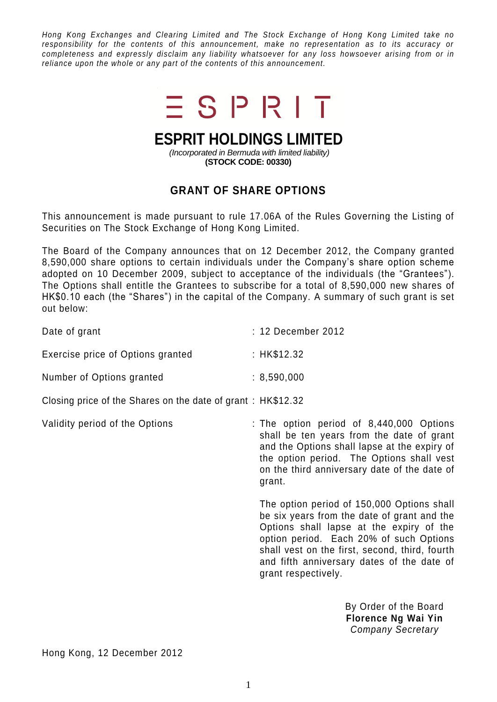*Hong Kong Exchanges and Clearing Limited and The Stock Exchange of Hong Kong Limited take no responsibility for the contents of this announcement, make no representation as to its accuracy or completeness and expressly disclaim any liability whatsoever for any loss howsoever arising from or in reliance upon the whole or any part of the contents of this announcement.*



## **ESPRIT HOLDINGS LIMITED**

*(Incorporated in Bermuda with limited liability)* **(STOCK CODE: 00330)**

## **GRANT OF SHARE OPTIONS**

This announcement is made pursuant to rule 17.06A of the Rules Governing the Listing of Securities on The Stock Exchange of Hong Kong Limited.

The Board of the Company announces that on 12 December 2012, the Company granted 8,590,000 share options to certain individuals under the Company's share option scheme adopted on 10 December 2009, subject to acceptance of the individuals (the "Grantees"). The Options shall entitle the Grantees to subscribe for a total of 8,590,000 new shares of HK\$0.10 each (the "Shares") in the capital of the Company. A summary of such grant is set out below:

| Date of grant                                               | : 12 December 2012 |
|-------------------------------------------------------------|--------------------|
| Exercise price of Options granted                           | : HK\$12.32        |
| Number of Options granted                                   | : 8.590,000        |
| Closing price of the Shares on the date of grant: HK\$12.32 |                    |

Validity period of the Options : The option period of 8,440,000 Options shall be ten years from the date of grant and the Options shall lapse at the expiry of the option period. The Options shall vest on the third anniversary date of the date of grant.

> The option period of 150,000 Options shall be six years from the date of grant and the Options shall lapse at the expiry of the option period. Each 20% of such Options shall vest on the first, second, third, fourth and fifth anniversary dates of the date of grant respectively.

> > By Order of the Board **Florence Ng Wai Yin** *Company Secretary*

Hong Kong, 12 December 2012